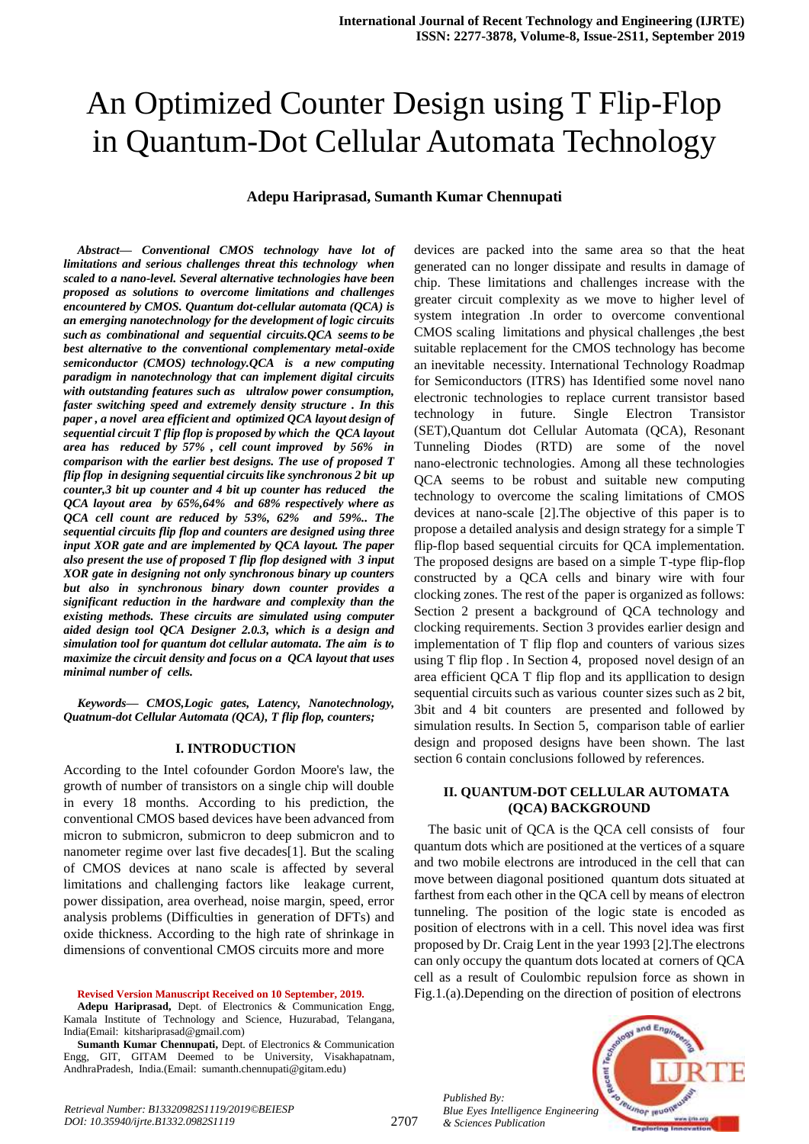# An Optimized Counter Design using T Flip-Flop in Quantum-Dot Cellular Automata Technology

## **Adepu Hariprasad, Sumanth Kumar Chennupati**

*Abstract***—** *Conventional CMOS technology have lot of limitations and serious challenges threat this technology when scaled to a nano-level. Several alternative technologies have been proposed as solutions to overcome limitations and challenges encountered by CMOS. Quantum dot-cellular automata (QCA) is an emerging nanotechnology for the development of logic circuits such as combinational and sequential circuits.QCA seems to be best alternative to the conventional complementary metal-oxide semiconductor (CMOS) technology.QCA is a new computing paradigm in nanotechnology that can implement digital circuits with outstanding features such as ultralow power consumption, faster switching speed and extremely density structure . In this paper , a novel area efficient and optimized QCA layout design of sequential circuit T flip flop is proposed by which the QCA layout area has reduced by 57% , cell count improved by 56% in comparison with the earlier best designs. The use of proposed T flip flop in designing sequential circuits like synchronous 2 bit up counter,3 bit up counter and 4 bit up counter has reduced the QCA layout area by 65%,64% and 68% respectively where as QCA cell count are reduced by 53%, 62% and 59%.. The sequential circuits flip flop and counters are designed using three input XOR gate and are implemented by QCA layout. The paper also present the use of proposed T flip flop designed with 3 input XOR gate in designing not only synchronous binary up counters but also in synchronous binary down counter provides a significant reduction in the hardware and complexity than the existing methods. These circuits are simulated using computer aided design tool QCA Designer 2.0.3, which is a design and simulation tool for quantum dot cellular automata. The aim is to maximize the circuit density and focus on a QCA layout that uses minimal number of cells.*

*Keywords— CMOS,Logic gates, Latency, Nanotechnology, Quatnum-dot Cellular Automata (QCA), T flip flop, counters;*

#### **I. INTRODUCTION**

According to the Intel cofounder Gordon Moore's law, the growth of number of transistors on a single chip will double in every 18 months. According to his prediction, the conventional CMOS based devices have been advanced from micron to submicron, submicron to deep submicron and to nanometer regime over last five decades[1]. But the scaling of CMOS devices at nano scale is affected by several limitations and challenging factors like leakage current, power dissipation, area overhead, noise margin, speed, error analysis problems (Difficulties in generation of DFTs) and oxide thickness. According to the high rate of shrinkage in dimensions of conventional CMOS circuits more and more

**Revised Version Manuscript Received on 10 September, 2019.**

**Adepu Hariprasad,** Dept. of Electronics & Communication Engg, Kamala Institute of Technology and Science, Huzurabad, Telangana, India(Email: kitshariprasad@gmail.com)

**Sumanth Kumar Chennupati,** Dept. of Electronics & Communication Engg, GIT, GITAM Deemed to be University, Visakhapatnam, AndhraPradesh, India.(Email: sumanth.chennupati@gitam.edu)

devices are packed into the same area so that the heat generated can no longer dissipate and results in damage of chip. These limitations and challenges increase with the greater circuit complexity as we move to higher level of system integration .In order to overcome conventional CMOS scaling limitations and physical challenges ,the best suitable replacement for the CMOS technology has become an inevitable necessity. International Technology Roadmap for Semiconductors (ITRS) has Identified some novel nano electronic technologies to replace current transistor based technology in future. Single Electron Transistor (SET),Quantum dot Cellular Automata (QCA), Resonant Tunneling Diodes (RTD) are some of the novel nano-electronic technologies. Among all these technologies QCA seems to be robust and suitable new computing technology to overcome the scaling limitations of CMOS devices at nano-scale [2].The objective of this paper is to propose a detailed analysis and design strategy for a simple T flip-flop based sequential circuits for QCA implementation. The proposed designs are based on a simple T-type flip-flop constructed by a QCA cells and binary wire with four clocking zones. The rest of the paper is organized as follows: Section 2 present a background of QCA technology and clocking requirements. Section 3 provides earlier design and implementation of T flip flop and counters of various sizes using T flip flop . In Section 4, proposed novel design of an area efficient QCA T flip flop and its appllication to design sequential circuits such as various counter sizes such as 2 bit, 3bit and 4 bit counters are presented and followed by simulation results. In Section 5, comparison table of earlier design and proposed designs have been shown. The last section 6 contain conclusions followed by references.

## **II. QUANTUM-DOT CELLULAR AUTOMATA (QCA) BACKGROUND**

The basic unit of QCA is the QCA cell consists of four quantum dots which are positioned at the vertices of a square and two mobile electrons are introduced in the cell that can move between diagonal positioned quantum dots situated at farthest from each other in the QCA cell by means of electron tunneling. The position of the logic state is encoded as position of electrons with in a cell. This novel idea was first proposed by Dr. Craig Lent in the year 1993 [2].The electrons can only occupy the quantum dots located at corners of QCA cell as a result of Coulombic repulsion force as shown in Fig.1.(a).Depending on the direction of position of electrons

*Published By: Blue Eyes Intelligence Engineering & Sciences Publication* 

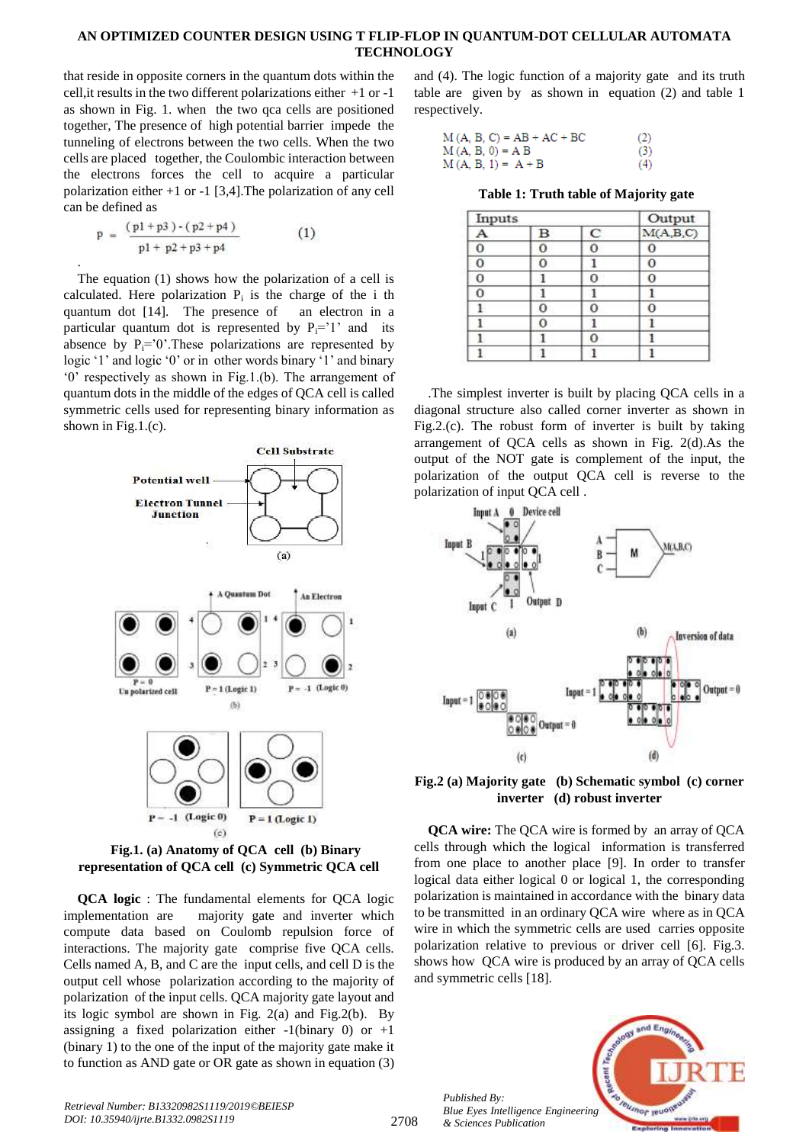that reside in opposite corners in the quantum dots within the cell,it results in the two different polarizations either +1 or -1 as shown in Fig. 1. when the two qca cells are positioned together, The presence of high potential barrier impede the tunneling of electrons between the two cells. When the two cells are placed together, the Coulombic interaction between the electrons forces the cell to acquire a particular polarization either +1 or -1 [3,4].The polarization of any cell can be defined as

$$
p = \frac{(p1 + p3) \cdot (p2 + p4)}{p1 + p2 + p3 + p4}
$$
 (1)

.

The equation (1) shows how the polarization of a cell is calculated. Here polarization  $P_i$  is the charge of the i th quantum dot [14]. The presence of an electron in a particular quantum dot is represented by  $P_i=1$  and its absence by  $P_i=^{\circ}0$ . These polarizations are represented by logic '1' and logic '0' or in other words binary '1' and binary "0" respectively as shown in Fig.1.(b). The arrangement of quantum dots in the middle of the edges of QCA cell is called symmetric cells used for representing binary information as shown in Fig.1.(c).



**Fig.1. (a) Anatomy of QCA cell (b) Binary representation of QCA cell (c) Symmetric QCA cell**

**QCA logic** : The fundamental elements for QCA logic implementation are majority gate and inverter which compute data based on Coulomb repulsion force of interactions. The majority gate comprise five QCA cells. Cells named A, B, and C are the input cells, and cell D is the output cell whose polarization according to the majority of polarization of the input cells. QCA majority gate layout and its logic symbol are shown in Fig. 2(a) and Fig.2(b). By assigning a fixed polarization either  $-1$ (binary 0) or  $+1$ (binary 1) to the one of the input of the majority gate make it to function as AND gate or OR gate as shown in equation (3)

and (4). The logic function of a majority gate and its truth table are given by as shown in equation (2) and table 1 respectively.

| $M(A, B, C) = AB + AC + BC$ | (2) |
|-----------------------------|-----|
| $M(A, B, 0) = A B$          | (3) |
| $M(A, B, 1) = A + B$        | (4) |

**Table 1: Truth table of Majority gate**

| Inputs |   |            | Output     |
|--------|---|------------|------------|
|        | R | $\epsilon$ | M(A, B, C) |
|        |   |            |            |
|        | Ω |            | C          |
|        |   |            |            |
|        |   |            |            |
|        | 0 |            |            |
|        |   |            |            |
|        |   |            |            |
|        |   |            |            |

.The simplest inverter is built by placing QCA cells in a diagonal structure also called corner inverter as shown in Fig.2.(c). The robust form of inverter is built by taking arrangement of QCA cells as shown in Fig. 2(d).As the output of the NOT gate is complement of the input, the polarization of the output QCA cell is reverse to the polarization of input QCA cell .



**Fig.2 (a) Majority gate (b) Schematic symbol (c) corner inverter (d) robust inverter**

**QCA wire:** The QCA wire is formed by an array of QCA cells through which the logical information is transferred from one place to another place [9]. In order to transfer logical data either logical 0 or logical 1, the corresponding polarization is maintained in accordance with the binary data to be transmitted in an ordinary QCA wire where as in QCA wire in which the symmetric cells are used carries opposite polarization relative to previous or driver cell [6]. Fig.3. shows how QCA wire is produced by an array of QCA cells and symmetric cells [18].

*Published By: Blue Eyes Intelligence Engineering & Sciences Publication* 

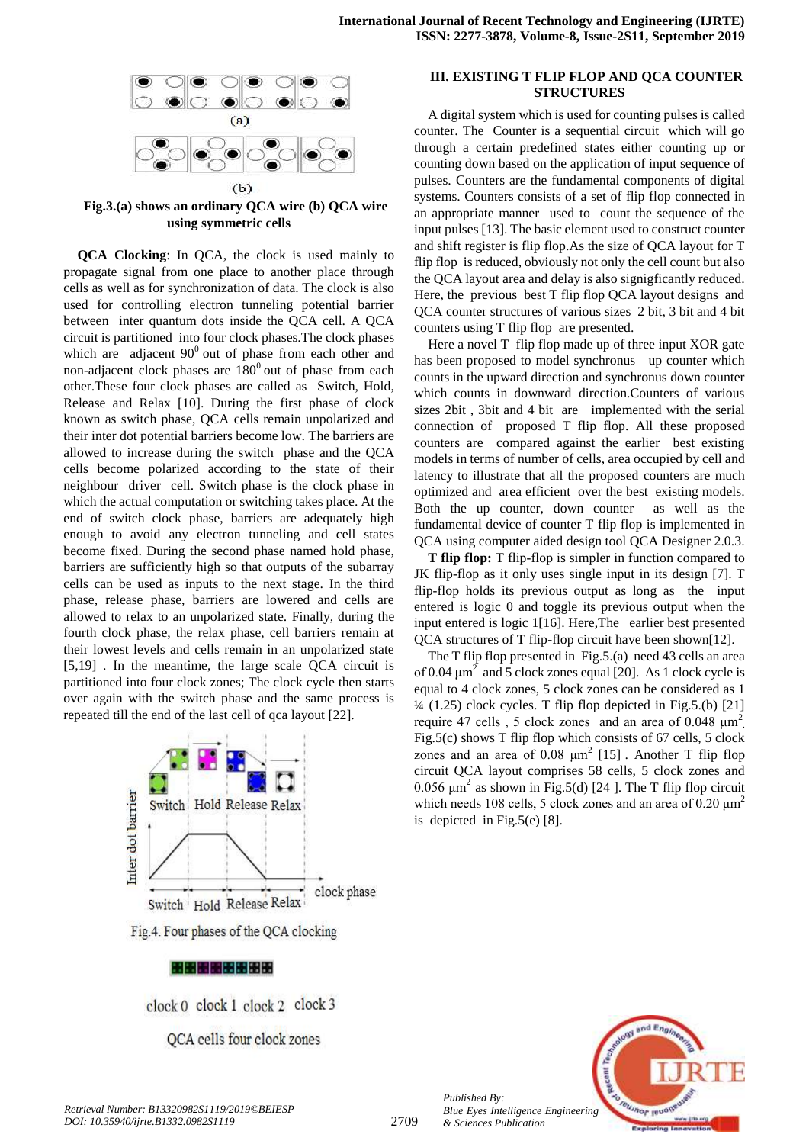

**Fig.3.(a) shows an ordinary QCA wire (b) QCA wire using symmetric cells**

**QCA Clocking**: In QCA, the clock is used mainly to propagate signal from one place to another place through cells as well as for synchronization of data. The clock is also used for controlling electron tunneling potential barrier between inter quantum dots inside the QCA cell. A QCA circuit is partitioned into four clock phases.The clock phases which are adjacent  $90^0$  out of phase from each other and non-adjacent clock phases are  $180^{\circ}$  out of phase from each other.These four clock phases are called as Switch, Hold, Release and Relax [10]. During the first phase of clock known as switch phase, QCA cells remain unpolarized and their inter dot potential barriers become low. The barriers are allowed to increase during the switch phase and the QCA cells become polarized according to the state of their neighbour driver cell. Switch phase is the clock phase in which the actual computation or switching takes place. At the end of switch clock phase, barriers are adequately high enough to avoid any electron tunneling and cell states become fixed. During the second phase named hold phase, barriers are sufficiently high so that outputs of the subarray cells can be used as inputs to the next stage. In the third phase, release phase, barriers are lowered and cells are allowed to relax to an unpolarized state. Finally, during the fourth clock phase, the relax phase, cell barriers remain at their lowest levels and cells remain in an unpolarized state [5,19] . In the meantime, the large scale QCA circuit is partitioned into four clock zones; The clock cycle then starts over again with the switch phase and the same process is repeated till the end of the last cell of qca layout [22].



clock 0 clock 1 clock 2 clock 3

QCA cells four clock zones

# **III. EXISTING T FLIP FLOP AND QCA COUNTER STRUCTURES**

A digital system which is used for counting pulses is called counter. The Counter is a sequential circuit which will go through a certain predefined states either counting up or counting down based on the application of input sequence of pulses. Counters are the fundamental components of digital systems. Counters consists of a set of flip flop connected in an appropriate manner used to count the sequence of the input pulses [13]. The basic element used to construct counter and shift register is flip flop.As the size of QCA layout for T flip flop is reduced, obviously not only the cell count but also the QCA layout area and delay is also signigficantly reduced. Here, the previous best T flip flop QCA layout designs and QCA counter structures of various sizes 2 bit, 3 bit and 4 bit counters using T flip flop are presented.

Here a novel T flip flop made up of three input XOR gate has been proposed to model synchronus up counter which counts in the upward direction and synchronus down counter which counts in downward direction.Counters of various sizes 2bit , 3bit and 4 bit are implemented with the serial connection of proposed T flip flop. All these proposed counters are compared against the earlier best existing models in terms of number of cells, area occupied by cell and latency to illustrate that all the proposed counters are much optimized and area efficient over the best existing models. Both the up counter, down counter as well as the fundamental device of counter T flip flop is implemented in QCA using computer aided design tool QCA Designer 2.0.3.

**T flip flop:** T flip-flop is simpler in function compared to JK flip-flop as it only uses single input in its design [7]. T flip-flop holds its previous output as long as the input entered is logic 0 and toggle its previous output when the input entered is logic 1[16]. Here,The earlier best presented QCA structures of T flip-flop circuit have been shown[12].

The T flip flop presented in Fig.5.(a) need 43 cells an area of 0.04  $\mu$ m<sup>2</sup> and 5 clock zones equal [20]. As 1 clock cycle is equal to 4 clock zones, 5 clock zones can be considered as 1  $\frac{1}{4}$  (1.25) clock cycles. T flip flop depicted in Fig.5.(b) [21] require 47 cells, 5 clock zones and an area of  $0.048 \mu m^2$ . Fig.5(c) shows T flip flop which consists of 67 cells, 5 clock zones and an area of  $0.08 \mu m^2$  [15]. Another T flip flop circuit QCA layout comprises 58 cells, 5 clock zones and 0.056  $\mu$ m<sup>2</sup> as shown in Fig.5(d) [24]. The T flip flop circuit which needs 108 cells, 5 clock zones and an area of  $0.20 \mu m^2$ is depicted in Fig.5(e)  $[8]$ .



2709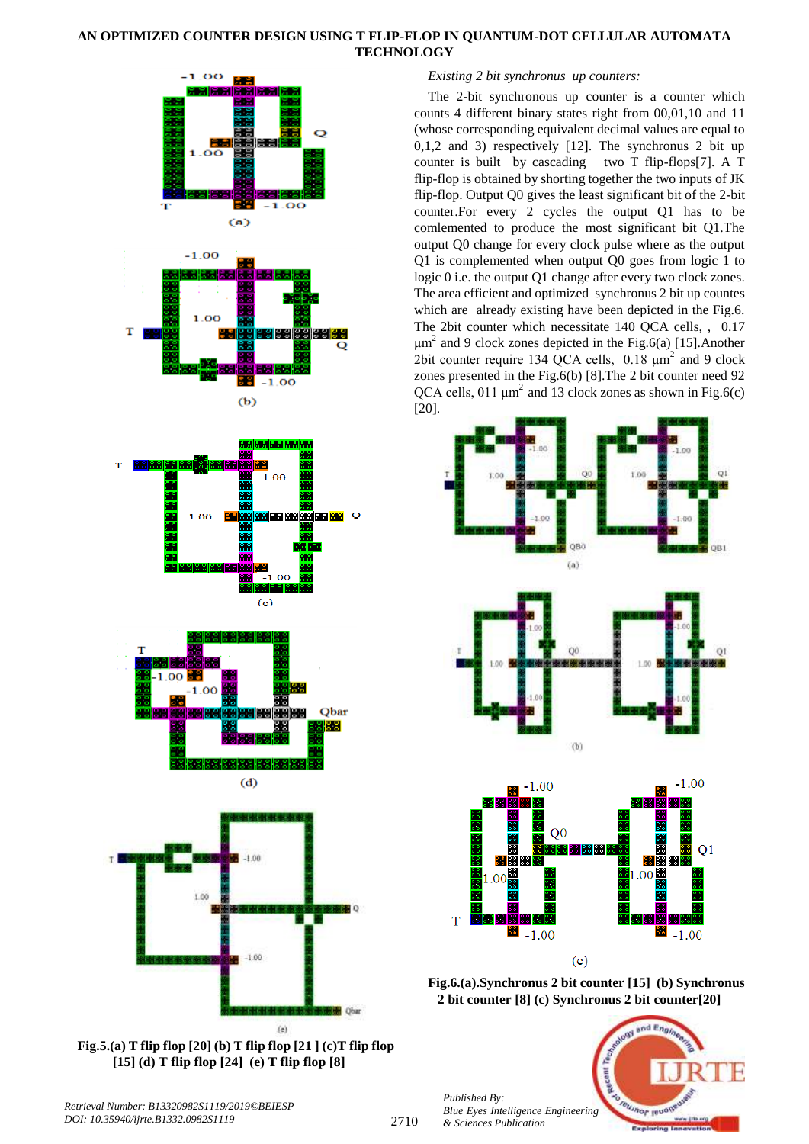



# *Existing 2 bit synchronus up counters:*

The 2-bit synchronous up counter is a counter which counts 4 different binary states right from 00,01,10 and 11 (whose corresponding equivalent decimal values are equal to 0,1,2 and 3) respectively [12]. The synchronus 2 bit up counter is built by cascading two T flip-flops[7]. A T flip-flop is obtained by shorting together the two inputs of JK flip-flop. Output Q0 gives the least significant bit of the 2-bit counter.For every 2 cycles the output Q1 has to be comlemented to produce the most significant bit Q1.The output Q0 change for every clock pulse where as the output Q1 is complemented when output Q0 goes from logic 1 to logic 0 i.e. the output Q1 change after every two clock zones. The area efficient and optimized synchronus 2 bit up countes which are already existing have been depicted in the Fig.6. The 2bit counter which necessitate 140 QCA cells, , 0.17  $\mu$ m<sup>2</sup> and 9 clock zones depicted in the Fig.6(a) [15]. Another 2bit counter require 134 QCA cells,  $0.18 \mu m^2$  and 9 clock zones presented in the Fig.6(b) [8].The 2 bit counter need 92 QCA cells, 011  $\mu$ m<sup>2</sup> and 13 clock zones as shown in Fig.6(c) [20].



**Fig.6.(a).Synchronus 2 bit counter [15] (b) Synchronus 2 bit counter [8] (c) Synchronus 2 bit counter[20]**



*Published By: Blue Eyes Intelligence Engineering & Sciences Publication*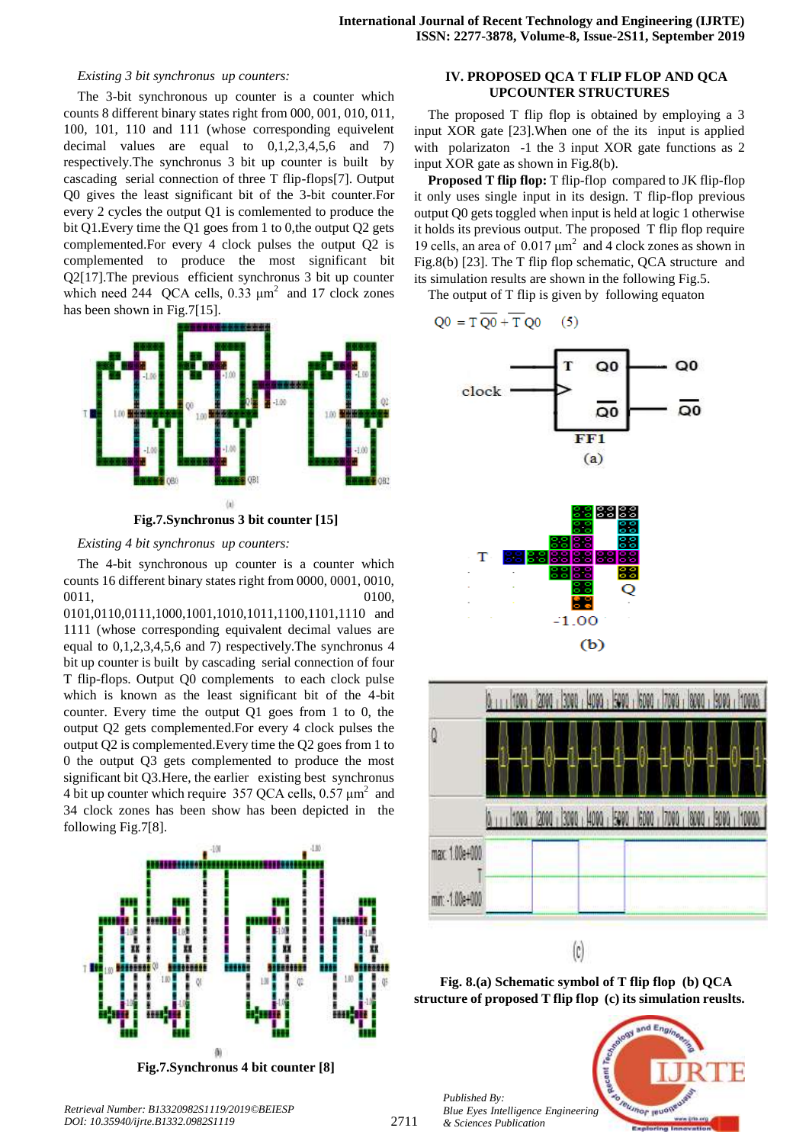#### *Existing 3 bit synchronus up counters:*

The 3-bit synchronous up counter is a counter which counts 8 different binary states right from 000, 001, 010, 011, 100, 101, 110 and 111 (whose corresponding equivelent decimal values are equal to  $0,1,2,3,4,5,6$  and 7) respectively.The synchronus 3 bit up counter is built by cascading serial connection of three T flip-flops[7]. Output Q0 gives the least significant bit of the 3-bit counter.For every 2 cycles the output Q1 is comlemented to produce the bit Q1.Every time the Q1 goes from 1 to 0,the output Q2 gets complemented.For every 4 clock pulses the output Q2 is complemented to produce the most significant bit Q2[17].The previous efficient synchronus 3 bit up counter which need 244 QCA cells,  $0.33 \mu m^2$  and 17 clock zones has been shown in Fig.7[15].



**Fig.7.Synchronus 3 bit counter [15]**

*Existing 4 bit synchronus up counters:*

The 4-bit synchronous up counter is a counter which counts 16 different binary states right from 0000, 0001, 0010, 0011, 0100,

0101,0110,0111,1000,1001,1010,1011,1100,1101,1110 and 1111 (whose corresponding equivalent decimal values are equal to 0,1,2,3,4,5,6 and 7) respectively.The synchronus 4 bit up counter is built by cascading serial connection of four T flip-flops. Output Q0 complements to each clock pulse which is known as the least significant bit of the 4-bit counter. Every time the output Q1 goes from 1 to 0, the output Q2 gets complemented.For every 4 clock pulses the output Q2 is complemented.Every time the Q2 goes from 1 to 0 the output Q3 gets complemented to produce the most significant bit Q3.Here, the earlier existing best synchronus 4 bit up counter which require 357 QCA cells,  $0.57 \mu m^2$  and 34 clock zones has been show has been depicted in the following Fig.7[8].



**Fig.7.Synchronus 4 bit counter [8]**

## **IV. PROPOSED QCA T FLIP FLOP AND QCA UPCOUNTER STRUCTURES**

The proposed T flip flop is obtained by employing a 3 input XOR gate [23].When one of the its input is applied with polarizaton -1 the 3 input XOR gate functions as 2 input XOR gate as shown in Fig.8(b).

**Proposed T flip flop:** T flip-flop compared to JK flip-flop it only uses single input in its design. T flip-flop previous output Q0 gets toggled when input is held at logic 1 otherwise it holds its previous output. The proposed T flip flop require 19 cells, an area of  $0.017 \mu m^2$  and 4 clock zones as shown in Fig.8(b) [23]. The T flip flop schematic, QCA structure and its simulation results are shown in the following Fig.5.

The output of T flip is given by following equaton







**Fig. 8.(a) Schematic symbol of T flip flop (b) QCA structure of proposed T flip flop (c) its simulation reuslts.**

*Published By: Blue Eyes Intelligence Engineering & Sciences Publication* 



*Retrieval Number: B13320982S1119/2019©BEIESP DOI: 10.35940/ijrte.B1332.0982S1119*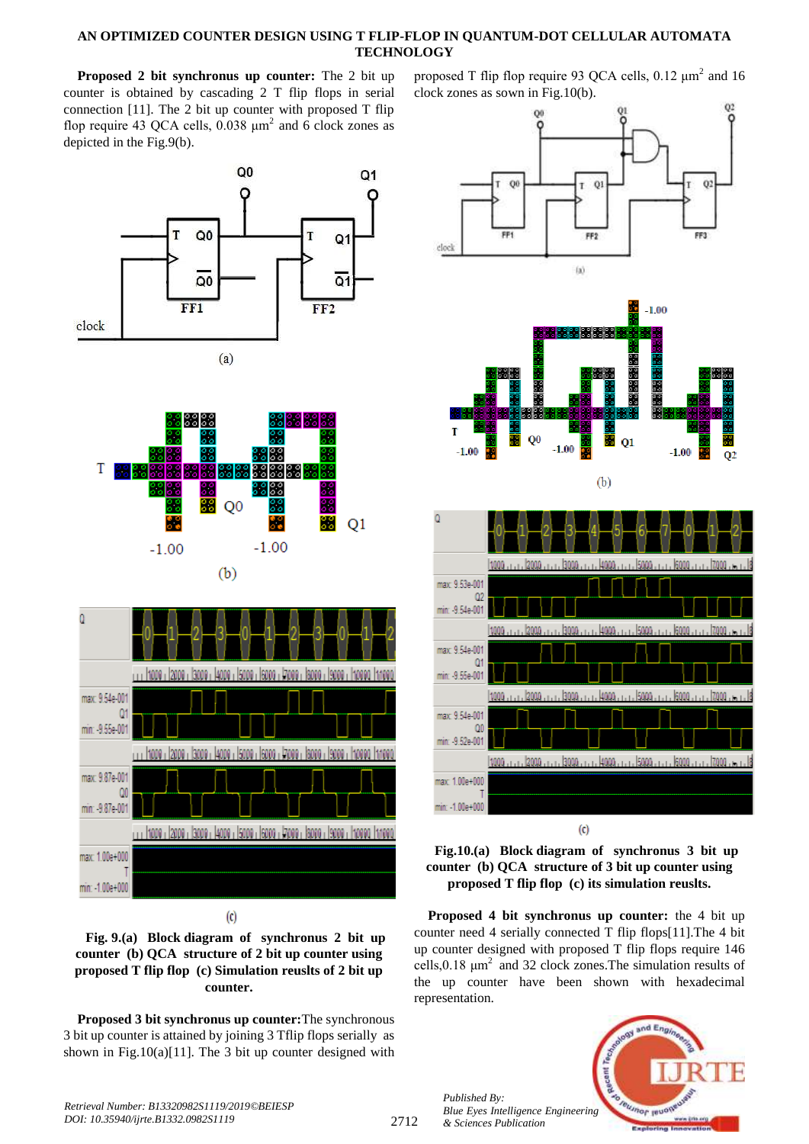**Proposed 2 bit synchronus up counter:** The 2 bit up counter is obtained by cascading 2 T flip flops in serial connection [11]. The 2 bit up counter with proposed T flip flop require 43 QCA cells,  $0.038 \mu m^2$  and 6 clock zones as depicted in the Fig.9(b).







 $\left( \text{c} \right)$ 

**Fig. 9.(a) Block diagram of synchronus 2 bit up counter (b) QCA structure of 2 bit up counter using proposed T flip flop (c) Simulation reuslts of 2 bit up counter.**

**Proposed 3 bit synchronus up counter:**The synchronous 3 bit up counter is attained by joining 3 Tflip flops serially as shown in Fig.10(a)[11]. The 3 bit up counter designed with proposed T flip flop require 93 OCA cells,  $0.12 \mu m^2$  and 16 clock zones as sown in Fig.10(b).





**Proposed 4 bit synchronus up counter:** the 4 bit up counter need 4 serially connected T flip flops[11].The 4 bit up counter designed with proposed T flip flops require 146 cells,0.18 μm<sup>2</sup> and 32 clock zones.The simulation results of the up counter have been shown with hexadecimal representation.



*Published By:*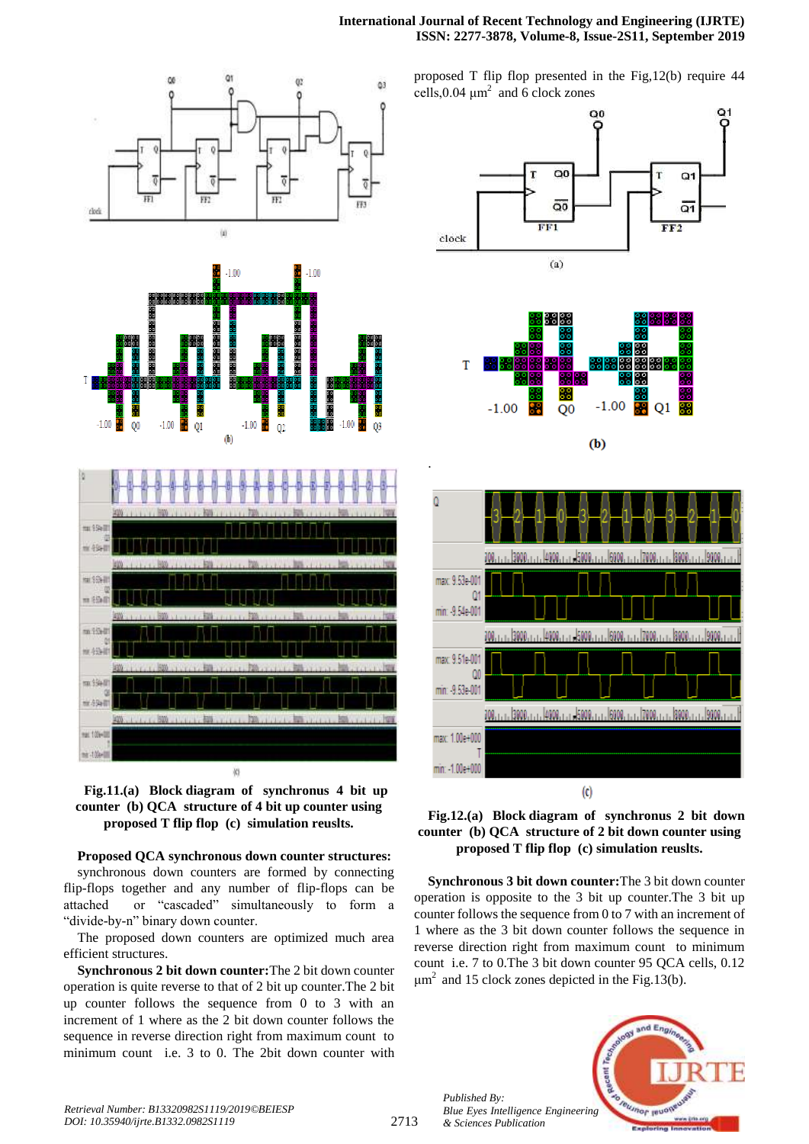







**Proposed QCA synchronous down counter structures:** synchronous down counters are formed by connecting flip-flops together and any number of flip-flops can be attached or "cascaded" simultaneously to form a "divide-by-n" binary down counter.

The proposed down counters are optimized much area efficient structures.

**Synchronous 2 bit down counter:**The 2 bit down counter operation is quite reverse to that of 2 bit up counter.The 2 bit up counter follows the sequence from 0 to 3 with an increment of 1 where as the 2 bit down counter follows the sequence in reverse direction right from maximum count to minimum count i.e. 3 to 0. The 2bit down counter with proposed T flip flop presented in the Fig,12(b) require 44 cells,  $0.04 \mu m^2$  and 6 clock zones







**Synchronous 3 bit down counter:**The 3 bit down counter operation is opposite to the 3 bit up counter.The 3 bit up counter follows the sequence from 0 to 7 with an increment of 1 where as the 3 bit down counter follows the sequence in reverse direction right from maximum count to minimum count i.e. 7 to 0.The 3 bit down counter 95 QCA cells, 0.12  $\mu$ m<sup>2</sup> and 15 clock zones depicted in the Fig.13(b).



2713

.

*Published By:*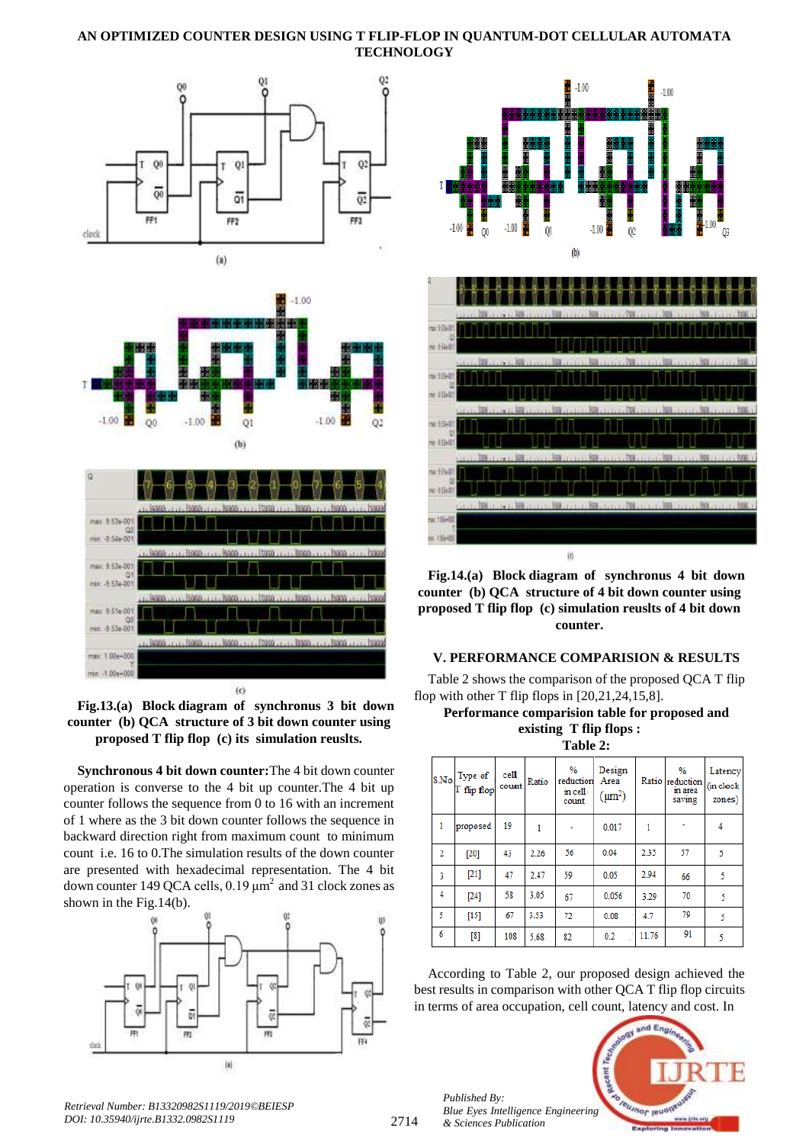







**Synchronous 4 bit down counter:**The 4 bit down counter operation is converse to the 4 bit up counter.The 4 bit up counter follows the sequence from 0 to 16 with an increment of 1 where as the 3 bit down counter follows the sequence in backward direction right from maximum count to minimum count i.e. 16 to 0.The simulation results of the down counter are presented with hexadecimal representation. The 4 bit down counter 149 QCA cells,  $0.19 \mu m^2$  and 31 clock zones as shown in the Fig.14(b).





**Fig.14.(a) Block diagram of synchronus 4 bit down counter (b) QCA structure of 4 bit down counter using proposed T flip flop (c) simulation reuslts of 4 bit down counter.**

## **V. PERFORMANCE COMPARISION & RESULTS**

Table 2 shows the comparison of the proposed QCA T flip flop with other T flip flops in  $[20,21,24,15,8]$ .

| Performance comparision table for proposed and |                           |  |  |
|------------------------------------------------|---------------------------|--|--|
|                                                | existing $T$ flip flops : |  |  |

| <b>Table 2:</b> |  |
|-----------------|--|
|-----------------|--|

|                | $_{\rm S.No}$ Type of<br>T flip flop | cell<br>count | Ratio | $\%$<br>reduction<br>in cell<br>count | Design<br>Area<br>$(\mu m^2)$ |       | $\%$<br>Ratio reduction<br>in area<br>saving | Latency<br>(in clock<br>zones) |
|----------------|--------------------------------------|---------------|-------|---------------------------------------|-------------------------------|-------|----------------------------------------------|--------------------------------|
| 1              | proposed                             | 19            | 1     |                                       | 0.017                         | 1     |                                              | 4                              |
| $\overline{2}$ | $[20]$                               | 43            | 2.26  | 56                                    | 0.04                          | 2.35  | 57                                           | 5                              |
| $\overline{3}$ | $[21]$                               | 47            | 2.47  | 59                                    | 0.05                          | 2.94  | 66                                           | 5                              |
| 4              | $[24]$                               | 58            | 3.05  | 67                                    | 0.056                         | 3.29  | 70                                           | 5                              |
| 5              | $[15]$                               | 67            | 3.53  | 72                                    | 0.08                          | 4.7   | 79                                           | 5                              |
| 6              | $^{[8]}$                             | 108           | 5.68  | 82                                    | 0.2                           | 11.76 | 91                                           | 5                              |

According to Table 2, our proposed design achieved the best results in comparison with other QCA T flip flop circuits in terms of area occupation, cell count, latency and cost. In

*Published By: Blue Eyes Intelligence Engineering & Sciences Publication* 



*Retrieval Number: B13320982S1119/2019©BEIESP DOI: 10.35940/ijrte.B1332.0982S1119*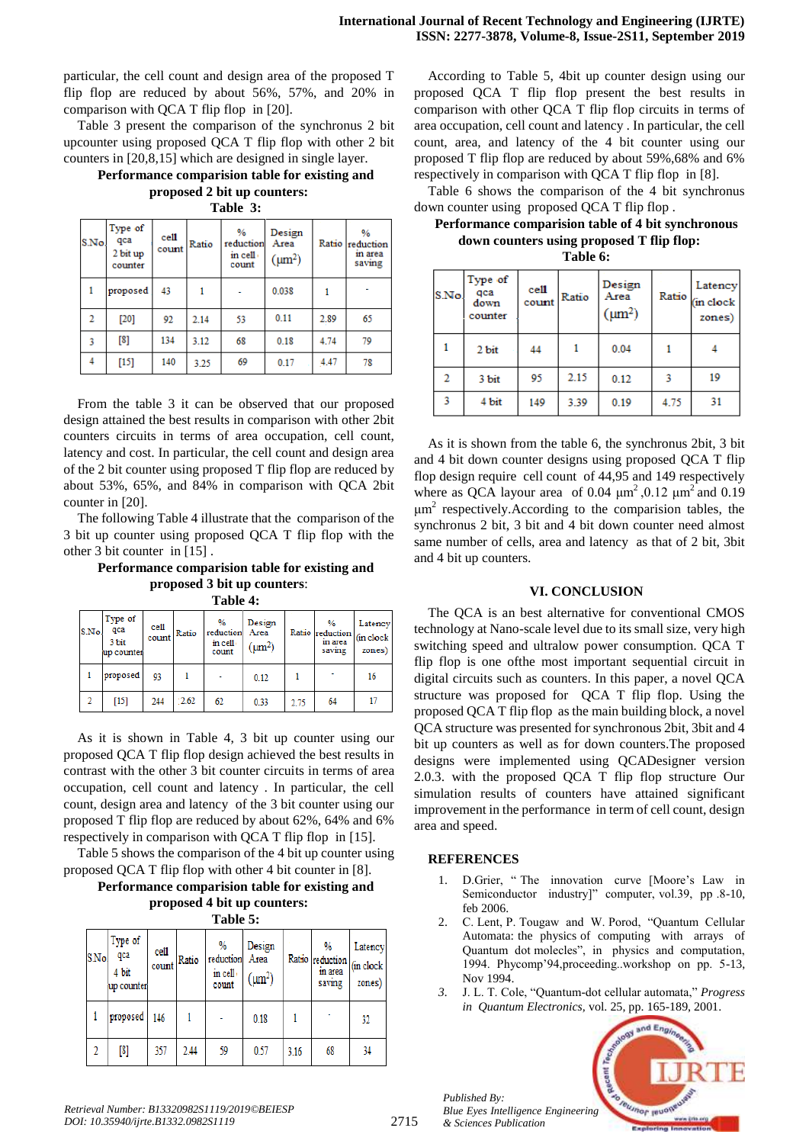particular, the cell count and design area of the proposed T flip flop are reduced by about 56%, 57%, and 20% in comparison with QCA T flip flop in [20].

Table 3 present the comparison of the synchronus 2 bit upcounter using proposed QCA T flip flop with other 2 bit counters in [20,8,15] which are designed in single layer.

**Performance comparision table for existing and proposed 2 bit up counters:**

**Table 3:**

| S.No. | Type of<br>qca<br>2 bit up<br>counter | cell<br>count | Ratio | %<br>reduction<br>in cell<br>count | Design<br>Area<br>$(\mu m^2)$ |      | $\%$<br>Ratio reduction<br>in area<br>saving |
|-------|---------------------------------------|---------------|-------|------------------------------------|-------------------------------|------|----------------------------------------------|
| 1     | proposed                              | 43            |       |                                    | 0.038                         |      |                                              |
| 2     | $[20]$                                | 92            | 2.14  | 53                                 | 0.11                          | 2.89 | 65                                           |
| 3     | [8]                                   | 134           | 3.12  | 68                                 | 0.18                          | 4.74 | 79                                           |
| 4     | $[15]$                                | 140           | 3.25  | 69                                 | 0.17                          | 4.47 | 78                                           |

From the table 3 it can be observed that our proposed design attained the best results in comparison with other 2bit counters circuits in terms of area occupation, cell count, latency and cost. In particular, the cell count and design area of the 2 bit counter using proposed T flip flop are reduced by about 53%, 65%, and 84% in comparison with QCA 2bit counter in [20].

The following Table 4 illustrate that the comparison of the 3 bit up counter using proposed QCA T flip flop with the other 3 bit counter in [15] .

**Performance comparision table for existing and proposed 3 bit up counters**:

| Table 4: |  |
|----------|--|
|----------|--|

| S.No. | Type of<br>qca<br>3 bit<br>up counter | cell<br>count | Ratio | $\frac{9}{6}$<br>reduction<br>in cell<br>count | Design<br>Area<br>$(\mu m^2)$ |      | $\frac{0}{2}$<br>Ratio reduction (in clock<br>in area<br>saving | Latency<br>zones) |
|-------|---------------------------------------|---------------|-------|------------------------------------------------|-------------------------------|------|-----------------------------------------------------------------|-------------------|
|       | proposed                              | 93            |       |                                                | 0.12                          |      | ٠                                                               | 16                |
|       | $[15]$                                | 244           | 2.62  | 62                                             | 0.33                          | 2.75 | 64                                                              | 17                |

As it is shown in Table 4, 3 bit up counter using our proposed QCA T flip flop design achieved the best results in contrast with the other 3 bit counter circuits in terms of area occupation, cell count and latency . In particular, the cell count, design area and latency of the 3 bit counter using our proposed T flip flop are reduced by about 62%, 64% and 6% respectively in comparison with QCA T flip flop in [15].

Table 5 shows the comparison of the 4 bit up counter using proposed QCA T flip flop with other 4 bit counter in [8].

#### **Performance comparision table for existing and proposed 4 bit up counters: Table 5:**

| <b>S.No</b> | Type of<br>qca<br>4 bit<br>up counter | cell<br>count | Ratio | %<br>reduction<br>in cell<br>count | Design<br>Area<br>$(\mu m^2)$ |      | %<br>Ratio reduction<br>in area<br>saving | Latency<br>(in clock<br>zones) |
|-------------|---------------------------------------|---------------|-------|------------------------------------|-------------------------------|------|-------------------------------------------|--------------------------------|
|             | proposed                              | 146           |       |                                    | 0.18                          |      |                                           | 32                             |
|             | $^{[8]}$                              | 357           | 2.44  | 59                                 | 0.57                          | 3.16 | 68                                        | 34                             |

According to Table 5, 4bit up counter design using our proposed QCA T flip flop present the best results in comparison with other QCA T flip flop circuits in terms of area occupation, cell count and latency . In particular, the cell count, area, and latency of the 4 bit counter using our proposed T flip flop are reduced by about 59%,68% and 6% respectively in comparison with QCA T flip flop in [8].

Table 6 shows the comparison of the 4 bit synchronus down counter using proposed QCA T flip flop .

**Performance comparision table of 4 bit synchronous down counters using proposed T flip flop:**

| S.No.          | Type of<br>qca<br>down<br>counter | cell<br>count | Ratio | Design<br>Area<br>$(\mu m^2)$ |      | Latency<br>Ratio (in clock<br>zones) |
|----------------|-----------------------------------|---------------|-------|-------------------------------|------|--------------------------------------|
|                | 2 bit                             | 44            |       | 0.04                          |      |                                      |
| $\overline{2}$ | 3 bit                             | 95            | 2.15  | 0.12                          | 3    | 19                                   |
| 3              | 4 bit                             | 149           | 3.39  | 0.19                          | 4.75 | 31                                   |

As it is shown from the table 6, the synchronus 2bit, 3 bit and 4 bit down counter designs using proposed QCA T flip flop design require cell count of 44,95 and 149 respectively where as QCA layour area of 0.04  $\mu$ m<sup>2</sup>,0.12  $\mu$ m<sup>2</sup> and 0.19  $\mu$ m<sup>2</sup> respectively. According to the comparision tables, the synchronus 2 bit, 3 bit and 4 bit down counter need almost same number of cells, area and latency as that of 2 bit, 3bit and 4 bit up counters.

#### **VI. CONCLUSION**

The QCA is an best alternative for conventional CMOS technology at Nano-scale level due to its small size, very high switching speed and ultralow power consumption. QCA T flip flop is one ofthe most important sequential circuit in digital circuits such as counters. In this paper, a novel QCA structure was proposed for QCA T flip flop. Using the proposed QCA T flip flop as the main building block, a novel QCA structure was presented for synchronous 2bit, 3bit and 4 bit up counters as well as for down counters.The proposed designs were implemented using QCADesigner version 2.0.3. with the proposed QCA T flip flop structure Our simulation results of counters have attained significant improvement in the performance in term of cell count, design area and speed.

# **REFERENCES**

*Published By:*

- 1. D.Grier, " The innovation curve [Moore"s Law in Semiconductor industry]" computer, vol.39, pp .8-10, feb 2006.
- 2. C. Lent, P. Tougaw and W. Porod, "Quantum Cellular Automata: the physics of computing with arrays of Quantum dot molecles", in physics and computation, 1994. Phycomp"94,proceeding..workshop on pp. 5-13, Nov 1994.
- *3.* J. L. T. Cole, "Quantum-dot cellular automata," *Progress in Quantum Electronics,* vol. 25, pp. 165-189, 2001.